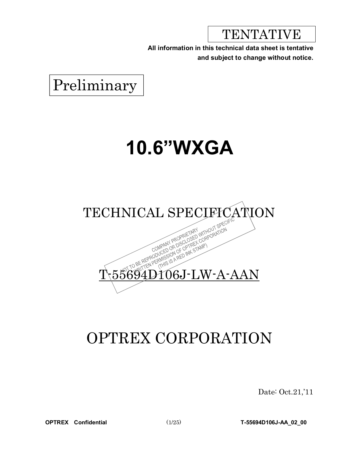TENTATIVE

**All information in this technical data sheet is tentative and subject to change without notice.**

Preliminary

# **10.6"WXGA**



## OPTREX CORPORATION

Date: Oct.21,'11

**OPTREX Confidential** (1/25) **T-55694D106J-AA\_02\_00**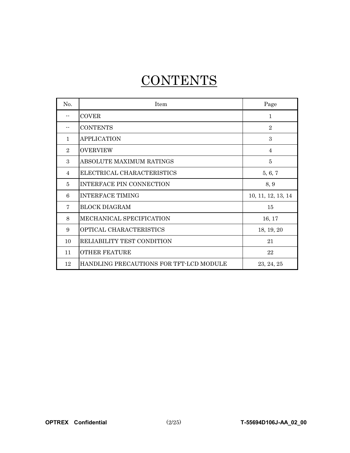## **CONTENTS**

| No.            | Item                                    | Page               |
|----------------|-----------------------------------------|--------------------|
|                | <b>COVER</b>                            | 1                  |
|                | <b>CONTENTS</b>                         | $\overline{2}$     |
| $\mathbf{1}$   | <b>APPLICATION</b>                      | 3                  |
| $\overline{2}$ | <b>OVERVIEW</b>                         | $\overline{4}$     |
| 3              | ABSOLUTE MAXIMUM RATINGS                | 5                  |
| 4              | ELECTRICAL CHARACTERISTICS              | 5, 6, 7            |
| 5              | <b>INTERFACE PIN CONNECTION</b>         | 8, 9               |
| 6              | <b>INTERFACE TIMING</b>                 | 10, 11, 12, 13, 14 |
| 7              | <b>BLOCK DIAGRAM</b>                    | 15                 |
| 8              | MECHANICAL SPECIFICATION                | 16, 17             |
| 9              | OPTICAL CHARACTERISTICS                 | 18, 19, 20         |
| 10             | RELIABILITY TEST CONDITION              | 21                 |
| 11             | <b>OTHER FEATURE</b>                    | 22                 |
| 12             | HANDLING PRECAUTIONS FOR TFT-LCD MODULE | 23, 24, 25         |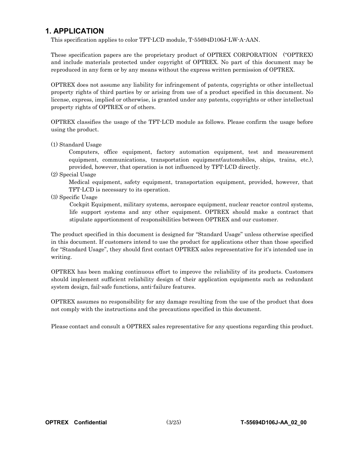## **1. APPLICATION**

This specification applies to color TFT-LCD module, T-55694D106J-LW-A-AAN.

These specification papers are the proprietary product of OPTREX CORPORATION ("OPTREX) and include materials protected under copyright of OPTREX. No part of this document may be reproduced in any form or by any means without the express written permission of OPTREX.

OPTREX does not assume any liability for infringement of patents, copyrights or other intellectual property rights of third parties by or arising from use of a product specified in this document. No license, express, implied or otherwise, is granted under any patents, copyrights or other intellectual property rights of OPTREX or of others.

OPTREX classifies the usage of the TFT-LCD module as follows. Please confirm the usage before using the product.

(1) Standard Usage

Computers, office equipment, factory automation equipment, test and measurement equipment, communications, transportation equipment(automobiles, ships, trains, etc.), provided, however, that operation is not influenced by TFT-LCD directly.

(2) Special Usage

Medical equipment, safety equipment, transportation equipment, provided, however, that TFT-LCD is necessary to its operation.

(3) Specific Usage

Cockpit Equipment, military systems, aerospace equipment, nuclear reactor control systems, life support systems and any other equipment. OPTREX should make a contract that stipulate apportionment of responsibilities between OPTREX and our customer.

The product specified in this document is designed for "Standard Usage" unless otherwise specified in this document. If customers intend to use the product for applications other than those specified for "Standard Usage", they should first contact OPTREX sales representative for it's intended use in writing.

OPTREX has been making continuous effort to improve the reliability of its products. Customers should implement sufficient reliability design of their application equipments such as redundant system design, fail-safe functions, anti-failure features.

OPTREX assumes no responsibility for any damage resulting from the use of the product that does not comply with the instructions and the precautions specified in this document.

Please contact and consult a OPTREX sales representative for any questions regarding this product.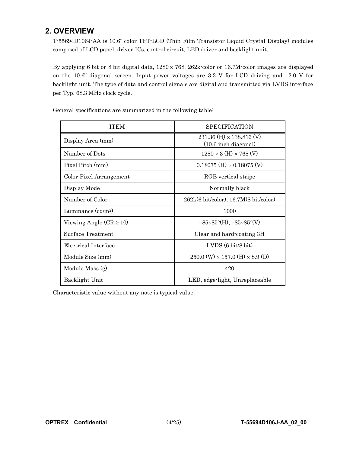## **2. OVERVIEW**

T-55694D106J-AA is 10.6" color TFT-LCD (Thin Film Transistor Liquid Crystal Display) modules composed of LCD panel, driver ICs, control circuit, LED driver and backlight unit.

By applying 6 bit or 8 bit digital data, 1280 × 768, 262k-color or 16.7M-color images are displayed on the 10.6" diagonal screen. Input power voltages are 3.3 V for LCD driving and 12.0 V for backlight unit. The type of data and control signals are digital and transmitted via LVDS interface per Typ. 68.3 MHz clock cycle.

| ITEM                        | <b>SPECIFICATION</b>                                         |
|-----------------------------|--------------------------------------------------------------|
| Display Area (mm)           | $231.36$ (H) $\times$ 138.816 (V)<br>$(10.6$ -inch diagonal) |
| Number of Dots              | $1280 \times 3$ (H) $\times 768$ (V)                         |
| Pixel Pitch (mm)            | $0.18075$ (H) $\times$ 0.18075 (V)                           |
| Color Pixel Arrangement     | RGB vertical stripe                                          |
| Display Mode                | Normally black                                               |
| Number of Color             | 262k(6 bit/color), 16.7M(8 bit/color)                        |
| Luminance $(cd/m2)$         | 1000                                                         |
| Viewing Angle $(CR \ge 10)$ | $-85-85^{\circ}$ (H), $-85-85^{\circ}$ (V)                   |
| Surface Treatment           | Clear and hard-coating 3H                                    |
| Electrical Interface        | $LVDS(6 \text{ bit/8 bit})$                                  |
| Module Size (mm)            | $250.0$ (W) $\times$ 157.0 (H) $\times$ 8.9 (D)              |
| Module Mass (g)             | 420                                                          |
| Backlight Unit              | LED, edge-light, Unreplaceable                               |

General specifications are summarized in the following table:

Characteristic value without any note is typical value.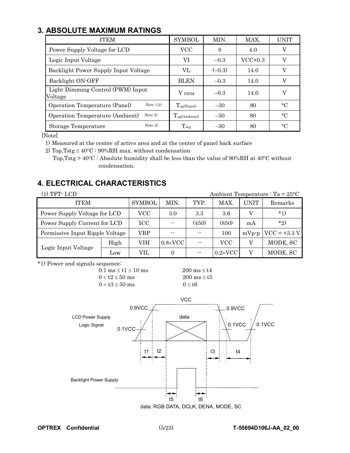## **3. ABSOLUTE MAXIMUM RATINGS**

| <b>ITEM</b>                                  | <b>SYMBOL</b>            | MIN.     | MAX.      | UNIT        |
|----------------------------------------------|--------------------------|----------|-----------|-------------|
| Power Supply Voltage for LCD                 | VCC                      | $\Omega$ | 4.0       | V           |
| Logic Input Voltage                          | VI                       | $-0.3$   | $VCC+0.3$ | V           |
| Backlight Power Supply Input Voltage         | VL                       | $(-0.3)$ | 14.0      | V           |
| Backlight ON-OFF                             | <b>BLEN</b>              | $-0.3$   | 14.0      | V           |
| Light Dimming Control (PWM) Input<br>Voltage | V PDIM                   | $-0.3$   | 14.0      | V           |
| Operation Temperature (Panel)<br>Note $1,2)$ | $T_{op(Panel)}$          | $-30$    | 80        | $^{\circ}C$ |
| Note $2)$<br>Operation Temperature (Ambient) | $T_{\text{op(Ambient)}}$ | $-30$    | 80        | $\circ$ C   |
| Note $2)$<br>Storage Temperature             | $T_{\rm stg}$            | $-30$    | 80        | $\circ$ C   |

[Note]

1) Measured at the center of active area and at the center of panel back surface

2) Top, Tstg  $\leq 40^{\circ}\text{C}$ : 90%RH max. without condensation

Top,Tstg > 40°C : Absolute humidity shall be less than the value of 90%RH at 40°C without condensation.

## **4. ELECTRICAL CHARACTERISTICS**

| (1) TFT- LCD                    |      | Ambient Temperature : Ta = $25^{\circ}$ C |                   |       |                  |             |                |  |  |  |  |
|---------------------------------|------|-------------------------------------------|-------------------|-------|------------------|-------------|----------------|--|--|--|--|
| <b>ITEM</b>                     |      | <b>SYMBOL</b>                             | MIN.              | TYP.  | MAX.             | <b>UNIT</b> | Remarks        |  |  |  |  |
| Power Supply Voltage for LCD    |      | VCC.                                      | 3.3<br>3.6<br>3.0 |       |                  |             | $*_{1}$        |  |  |  |  |
| Power Supply Current for LCD    |      | ICC                                       |                   | (450) | (850)            | mA          | $*_{2}$        |  |  |  |  |
| Permissive Input Ripple Voltage |      | VRP                                       | - -               | $ -$  | 100              | $mVp-p$     | $VCC = +3.3 V$ |  |  |  |  |
| Logic Input Voltage             | High | VIH                                       | $0.8 \times$ VCC  | $- -$ | VCC              | V           | MODE, SC       |  |  |  |  |
|                                 | Low  | VIL                                       | 0                 | $- -$ | $0.2 \times$ VCC | V           | MODE, SC       |  |  |  |  |

\*1) Power and signals sequence:







data: RGB DATA, DCLK, DENA, MODE, SC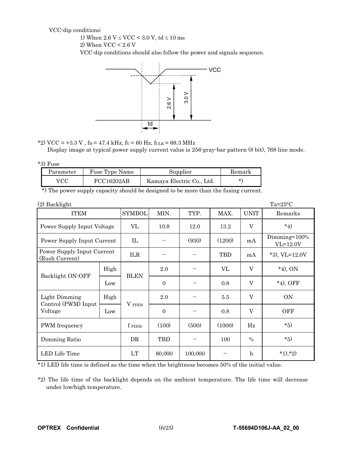VCC-dip conditions:

1) When  $2.6 \text{ V} \leq \text{VCC} \leq 3.0 \text{ V}$ , td  $\leq 10 \text{ ms}$ 

2) When VCC < 2.6 V

VCC-dip conditions should also follow the power and signals sequence.



\*2) VCC = +3.3 V,  $f_H = 47.4$  kHz,  $f_V = 60$  Hz,  $f_{CLK} = 68.3$  MHz

Display image at typical power supply current value is 256-gray-bar pattern (8 bit), 768 line mode.

\*3) Fuse

| Parameter | Fuse Type Name | Supplier                  | Remark  |
|-----------|----------------|---------------------------|---------|
| VCC-      | FCC16202AB     | Kamaya Electric Co., Ltd. | $\star$ |

\*) The power supply capacity should be designed to be more than the fusing current.

| $(2)$ Backlight                              |      |               |                  |         |         |                | $Ta=25^{\circ}C$             |
|----------------------------------------------|------|---------------|------------------|---------|---------|----------------|------------------------------|
| <b>ITEM</b>                                  |      | <b>SYMBOL</b> | MIN.             | TYP.    | MAX.    | <b>UNIT</b>    | Remarks                      |
| Power Supply Input Voltage                   |      | VL            | 10.8             | 12.0    | 13.2    | $\overline{V}$ | $*_{4}$                      |
| Power Supply Input Current                   |      | IL            |                  | (930)   | (1200)  | mA             | $Dimming=100%$<br>$VL=12.0V$ |
| Power Supply Input Current<br>(Rush Current) |      | ILR           |                  | --      | TBD     | mA             | $*3$ , VL=12.0V              |
| Backlight ON-OFF                             | High | <b>BLEN</b>   | 2.0              | --      | VL      | V              | $*$ 4), ON                   |
|                                              | Low  |               | $\boldsymbol{0}$ |         | 0.8     | $\overline{V}$ | $*$ 4), OFF                  |
| Light Dimming<br>Control (PWM) Input         | High | V PDIM        | 2.0              |         | $5.5\,$ | V              | 0 <sub>N</sub>               |
| Voltage                                      | Low  |               | $\mathbf{0}$     | $ -$    | 0.8     | V              | OFF                          |
| PWM frequency                                |      | $f_{PDIM}$    | (100)            | (500)   | (1000)  | Hz             | $*5)$                        |
| Dimming Ratio                                |      | DR            | <b>TBD</b>       |         | 100     | $\%$           | $*5)$                        |
| LED Life Time                                |      | <b>LT</b>     | 80,000           | 100,000 |         | $\mathbf h$    | $*1, *2)$                    |

\*1) LED life time is defined as the time when the brightness becomes 50% of the initial value.

\*2) The life time of the backlight depends on the ambient temperature. The life time will decrease under low/high temperature.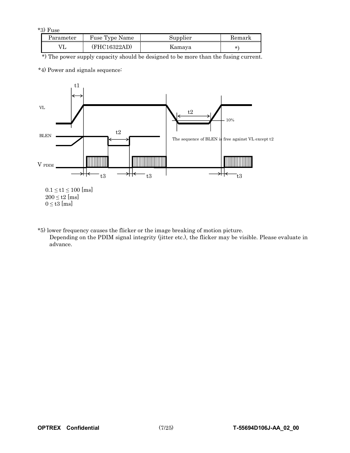\*3) Fuse

| Parameter | Fuse Type Name | Supplier | Remark |
|-----------|----------------|----------|--------|
|           | (FHC16322AD)   | Kamaya   | ÷      |

\*) The power supply capacity should be designed to be more than the fusing current.

\*4) Power and signals sequence:



\*5) lower frequency causes the flicker or the image breaking of motion picture. Depending on the PDIM signal integrity (jitter etc.), the flicker may be visible. Please evaluate in advance.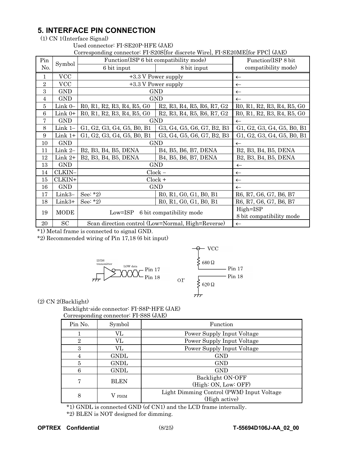## **5. INTERFACE PIN CONNECTION**

(1) CN 1(Interface Signal)

Used connector: FI-SE20P-HFE (JAE)

#### Corresponding connector: FI-S20S[for discrete Wire], FI-SE20ME[for FPC] (JAE)

| Pin            |             | Function(ISP 6 bit compatibility mode)                                                                               | Function(ISP 8 bit                                                                                                   |                                                                                                                      |  |  |  |  |  |  |
|----------------|-------------|----------------------------------------------------------------------------------------------------------------------|----------------------------------------------------------------------------------------------------------------------|----------------------------------------------------------------------------------------------------------------------|--|--|--|--|--|--|
| No.            | Symbol      | 6 bit input                                                                                                          | 8 bit input                                                                                                          | compatibility mode)                                                                                                  |  |  |  |  |  |  |
| 1              | <b>VCC</b>  | $+3.3$ V Power supply                                                                                                | $\leftarrow$                                                                                                         |                                                                                                                      |  |  |  |  |  |  |
| $\overline{2}$ | <b>VCC</b>  |                                                                                                                      | +3.3 V Power supply                                                                                                  | $\leftarrow$                                                                                                         |  |  |  |  |  |  |
| 3              | <b>GND</b>  |                                                                                                                      | <b>GND</b>                                                                                                           | $\leftarrow$                                                                                                         |  |  |  |  |  |  |
| 4              | <b>GND</b>  |                                                                                                                      | GND                                                                                                                  | $\leftarrow$                                                                                                         |  |  |  |  |  |  |
| 5              | Link 0-     | R0, R1, R2, R3, R4, R5, G0                                                                                           | R <sub>2</sub> , R <sub>3</sub> , R <sub>4</sub> , R <sub>5</sub> , R <sub>6</sub> , R <sub>7</sub> , G <sub>2</sub> | R <sub>0</sub> , R <sub>1</sub> , R <sub>2</sub> , R <sub>3</sub> , R <sub>4</sub> , R <sub>5</sub> , G <sub>0</sub> |  |  |  |  |  |  |
| 6              | Link $0+$   | R <sub>0</sub> , R <sub>1</sub> , R <sub>2</sub> , R <sub>3</sub> , R <sub>4</sub> , R <sub>5</sub> , G <sub>0</sub> | R <sub>2</sub> , R <sub>3</sub> , R <sub>4</sub> , R <sub>5</sub> , R <sub>6</sub> , R <sub>7</sub> , G <sub>2</sub> | R <sub>0</sub> , R <sub>1</sub> , R <sub>2</sub> , R <sub>3</sub> , R <sub>4</sub> , R <sub>5</sub> , G <sub>0</sub> |  |  |  |  |  |  |
| 7              | <b>GND</b>  |                                                                                                                      | <b>GND</b>                                                                                                           | $\leftarrow$                                                                                                         |  |  |  |  |  |  |
| 8              | Link $1-$   | G1, G2, G3, G4, G5, B0, B1                                                                                           | G3, G4, G5, G6, G7, B2, B3                                                                                           | G1, G2, G3, G4, G5, B0, B1                                                                                           |  |  |  |  |  |  |
| 9              | $Link 1+$   | G1, G2, G3, G4, G5, B0, B1                                                                                           | G3, G4, G5, G6, G7, B2, B3                                                                                           | G1, G2, G3, G4, G5, B0, B1                                                                                           |  |  |  |  |  |  |
| 10             | GND         |                                                                                                                      | <b>GND</b>                                                                                                           | $\leftarrow$                                                                                                         |  |  |  |  |  |  |
| 11             | Link 2-     | B2, B3, B4, B5, DENA                                                                                                 | B4, B5, B6, B7, DENA                                                                                                 | B2, B3, B4, B5, DENA                                                                                                 |  |  |  |  |  |  |
| 12             | Link 2+     | B2, B3, B4, B5, DENA                                                                                                 | B4, B5, B6, B7, DENA                                                                                                 | B2, B3, B4, B5, DENA                                                                                                 |  |  |  |  |  |  |
| 13             | <b>GND</b>  |                                                                                                                      | <b>GND</b>                                                                                                           | $\leftarrow$                                                                                                         |  |  |  |  |  |  |
| 14             | CLKIN-      |                                                                                                                      | $Clock -$                                                                                                            | $\leftarrow$                                                                                                         |  |  |  |  |  |  |
| 15             | CLKIN+      |                                                                                                                      | $Clock +$                                                                                                            | $\leftarrow$                                                                                                         |  |  |  |  |  |  |
| 16             | <b>GND</b>  |                                                                                                                      | <b>GND</b>                                                                                                           | $\leftarrow$                                                                                                         |  |  |  |  |  |  |
| 17             | $Link3-$    | See: $*2)$                                                                                                           | R0, R1, G0, G1, B0, B1                                                                                               | R6, R7, G6, G7, B6, B7                                                                                               |  |  |  |  |  |  |
| 18             | Link3+      | See: $*2)$                                                                                                           | R0, R1, G0, G1, B0, B1                                                                                               | R6, R7, G6, G7, B6, B7                                                                                               |  |  |  |  |  |  |
| 19             | <b>MODE</b> | $Low=ISP$                                                                                                            | 6 bit compatibility mode                                                                                             | $High=ISP$                                                                                                           |  |  |  |  |  |  |
|                |             |                                                                                                                      | 8 bit compatibility mode                                                                                             |                                                                                                                      |  |  |  |  |  |  |
| 20             | SC          |                                                                                                                      | Scan direction control (Low=Normal, High=Reverse)                                                                    | $\leftarrow$                                                                                                         |  |  |  |  |  |  |

\*1) Metal frame is connected to signal GND.

\*2) Recommended wiring of Pin 17,18 (6 bit input)





Backlight-side connector: FI-S8P-HFE (JAE) Corresponding connector: FI-S8S (JAE)

| Pin No.        | Symbol      | Function                                  |
|----------------|-------------|-------------------------------------------|
|                | VL          | Power Supply Input Voltage                |
| $\overline{2}$ | VL          | Power Supply Input Voltage                |
| 3              | VL.         | Power Supply Input Voltage                |
|                | GNDL        | GND                                       |
| 5              | <b>GNDL</b> | GND                                       |
| 6              | GNDL        | GND                                       |
| Π,             | <b>BLEN</b> | Backlight ON-OFF                          |
|                |             | (High: ON, Low: OFF)                      |
| 8              | <b>PDIM</b> | Light Dimming Control (PWM) Input Voltage |
|                |             | (High active)                             |

\*1) GNDL is connected GND (of CN1) and the LCD frame internally. \*2) BLEN is NOT designed for dimming.

Pin 17 Pin 18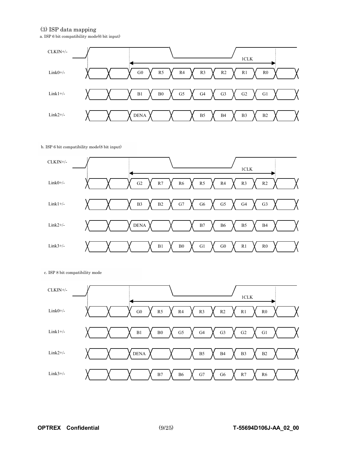(3) ISP data mapping

a. ISP 6 bit compatibility mode(6 bit input)



#### b. ISP 6 bit compatibility mode(8 bit input)



c. ISP 8 bit compatibility mode

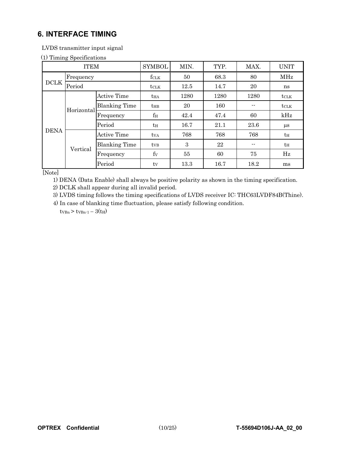## **6. INTERFACE TIMING**

LVDS transmitter input signal

(1) Timing Specifications

|             | <b>ITEM</b> |                      | <b>SYMBOL</b>   | MIN. | TYP. | MAX.  | <b>UNIT</b>      |
|-------------|-------------|----------------------|-----------------|------|------|-------|------------------|
|             | Frequency   |                      | $f_{\rm CLK}$   | 50   | 68.3 | 80    | <b>MHz</b>       |
| <b>DCLK</b> | Period      |                      | <b>t</b> CLK    | 12.5 | 14.7 | 20    | ns               |
|             |             | <b>Active Time</b>   | $t_{HA}$        | 1280 | 1280 | 1280  | $t_{\text{CLK}}$ |
|             | Horizontal  | <b>Blanking Time</b> | $t_{HB}$        | 20   | 160  | $- -$ | $t_{\text{CLK}}$ |
|             |             | Frequency            | $f_{\rm H}$     | 42.4 | 47.4 | 60    | kHz              |
|             |             | Period               | tн              | 16.7 | 21.1 | 23.6  | $\mu$ s          |
| <b>DENA</b> |             | <b>Active Time</b>   | t <sub>VA</sub> | 768  | 768  | 768   | $t_H$            |
|             | Vertical    | <b>Blanking Time</b> | ty <sub>B</sub> | 3    | 22   | $- -$ | tн               |
|             |             | Frequency            | $f_V$           | 55   | 60   | 75    | Hz               |
|             |             | Period               | tv              | 13.3 | 16.7 | 18.2  | ms               |

[Note]

1) DENA (Data Enable) shall always be positive polarity as shown in the timing specification.

2) DCLK shall appear during all invalid period.

3) LVDS timing follows the timing specifications of LVDS receiver IC: THC63LVDF84B(Thine).

4) In case of blanking time fluctuation, please satisfy following condition.

 $t_{VBr} > t_{VBr-1} - 3(t_{H})$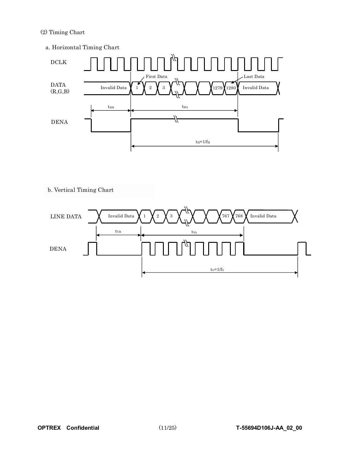## (2) Timing Chart

a. Horizontal Timing Chart



b. Vertical Timing Chart

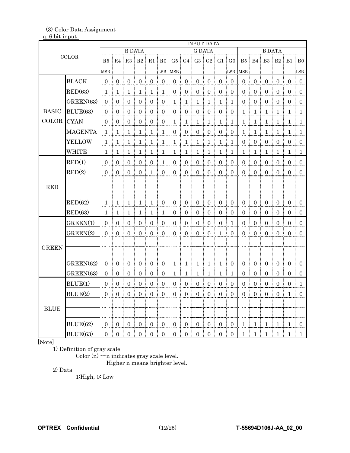## (3) Color Data Assignment

#### a. 6 bit input

|                              |                |                  |                  |                     |                                                                  |                       |                |                | <b>INPUT DATA</b> |                               |                       |                     |                   |                  |                   |                  |                |                             |                  |
|------------------------------|----------------|------------------|------------------|---------------------|------------------------------------------------------------------|-----------------------|----------------|----------------|-------------------|-------------------------------|-----------------------|---------------------|-------------------|------------------|-------------------|------------------|----------------|-----------------------------|------------------|
| <b>COLOR</b>                 |                |                  |                  | R DATA              |                                                                  |                       |                |                |                   | <b>G DATA</b>                 |                       |                     |                   |                  |                   | <b>B DATA</b>    |                |                             |                  |
|                              |                | R5               |                  |                     | $R4$ R <sub>3</sub> R <sub>2</sub> R <sub>1</sub> R <sub>0</sub> |                       |                |                |                   | $G5$ $G4$ $G3$ $G2$ $G1$ $G0$ |                       |                     |                   |                  |                   |                  |                | B5   B4   B3   B2   B1   B0 |                  |
|                              |                | MSB              |                  |                     |                                                                  |                       | LSB            | <b>MSB</b>     |                   |                               |                       |                     | $_{\rm{LSB}}$     | MSB              |                   |                  |                |                             | $_{\rm{LSB}}$    |
| <b>BLACK</b>                 |                | $\Omega$         | $\overline{0}$   | $\overline{0}$      | $\overline{0}$                                                   | $\overline{0}$        | $\overline{0}$ | $\overline{0}$ | $\overline{0}$    | $\boldsymbol{0}$              | $\boldsymbol{0}$<br>ł | $\overline{0}$<br>÷ | $\overline{0}$    | $\overline{0}$   | $\overline{0}$    | $\overline{0}$   | $\overline{0}$ | $\overline{0}$              | $\overline{0}$   |
| <b>BASIC</b><br><b>COLOR</b> | RED(63)        | $\mathbf{1}$     | $\mathbf{1}$     | $\mathbf{1}$        | $\mathbf{1}$                                                     | $\mathbf{1}$          | $\mathbf{1}$   | $\overline{0}$ | $\boldsymbol{0}$  | $\boldsymbol{0}$              | $\boldsymbol{0}$      | $\overline{0}$      | $\mathbf{0}$      | $\mathbf{0}$     | $\mathbf{0}$      | $\mathbf{0}$     | $\overline{0}$ | $\mathbf{0}$                | $\mathbf{0}$     |
|                              | GREEN(63)      | $\overline{0}$   | $\boldsymbol{0}$ | $\boldsymbol{0}$    | $\mathbf{0}$                                                     | $\boldsymbol{0}$      | $\overline{0}$ | $\mathbf{1}$   | $\mathbf{1}$      | $\mathbf{1}$                  | $\mathbf{1}$          | $\mathbf{1}$        | $\mathbf{1}$      | $\overline{0}$   | $\mathbf{0}$      | $\mathbf{0}$     | $\overline{0}$ | $\mathbf{0}$                | $\mathbf{0}$     |
|                              | BLUE(63)       | $\overline{0}$   | $\boldsymbol{0}$ | $\boldsymbol{0}$    | $\boldsymbol{0}$                                                 | $\boldsymbol{0}$      | $\mathbf{0}$   | 0 <sup>1</sup> | $\boldsymbol{0}$  | $\boldsymbol{0}$              | $\boldsymbol{0}$      | $\boldsymbol{0}$    | $\boldsymbol{0}$  | $\mathbf{1}$     | $\mathbf{1}$      | $1$              | $\mathbf{1}$   | $\mathbf{1}$                | $\mathbf{1}$     |
|                              | <b>CYAN</b>    | $\overline{0}$   | $\boldsymbol{0}$ | $\boldsymbol{0}$    | $\boldsymbol{0}$                                                 | $\boldsymbol{0}$      | $\mathbf{0}$   | 1 <sup>1</sup> | $\mathbf{1}$      | $\mathbf{1}$                  | $\mathbf{1}$          | $\mathbf{1}$<br>÷   | $\mathbf{1}$      | $\mathbf{1}$     | $\mathbf{1}$      | $\frac{1}{2}$    | $\mathbf{1}$   | $\mathbf{1}$                | $\mathbf{1}$     |
|                              | <b>MAGENTA</b> | 1                | $\mathbf{1}$     | -1                  | $\mathbf{1}$                                                     | 1                     | 1              | 0 <sup>1</sup> | $\boldsymbol{0}$  | $\boldsymbol{0}$              | $\boldsymbol{0}$      | $\mathbf{0}$        | $\boldsymbol{0}$  | $\mathbf{1}$     | $\mathbf{1}$      | $\mathbf{1}$     | $\mathbf{1}$   | -1                          | 1                |
|                              | <b>YELLOW</b>  | $\mathbf{1}$     | $\mathbf{1}$     | $\mathbf{1}$        | $\mathbf{1}$                                                     | $\mathbf{1}$          | $\overline{1}$ | 1              | $\mathbf{1}$      | $\mathbf{1}$<br>t             | $\mathbf{1}$          | $\mathbf{1}$        | $\mathbf{1}$      | $\overline{0}$   | $\boldsymbol{0}$  | $\boldsymbol{0}$ | $\mathbf{0}$   | $\mathbf{0}$                | $\mathbf{0}$     |
|                              | <b>WHITE</b>   | 1                | -1               | 1<br>÷              | 1                                                                | $\mathbf{1}$          | -1             | $1 \cdot$      | $\frac{1}{2}$     | $\mathbf{1}$<br>÷<br>ł        | $\mathbf{1}$          | $\frac{1}{\cdot}$   | -1                | 1                | 1                 | -1               | 1              | -1                          | 1                |
|                              | RED(1)         | $\overline{0}$   | 0 <sup>1</sup>   | $\boldsymbol{0}$    | $\overline{0}$                                                   | $\boldsymbol{0}$      | $\mathbf{1}$   | $\mathbf{0}$   | $\mathbf{0}$      | $\mathbf{0}$<br>÷             | $\boldsymbol{0}$      | $\overline{0}$      | $\boldsymbol{0}$  | $\mathbf{0}$     | $\mathbf{0}$<br>÷ | $\overline{0}$   | $\mathbf{0}$   | $\mathbf{0}$                | $\boldsymbol{0}$ |
|                              | RED(2)         | $\Omega$         | $\mathbf{0}$     | $\boldsymbol{0}$    | $\mathbf{0}$                                                     | $\mathbf{1}$          | $\overline{0}$ | $\overline{0}$ | $\boldsymbol{0}$  | $\overline{0}$                | $\boldsymbol{0}$      | $\mathbf{0}$        | $\mathbf{0}$      | $\boldsymbol{0}$ | $\mathbf{0}$      | $\mathbf{0}$     | $\mathbf{0}$   | $\mathbf{0}$                | $\boldsymbol{0}$ |
|                              |                |                  |                  |                     |                                                                  |                       |                |                |                   |                               |                       |                     |                   |                  |                   |                  |                |                             |                  |
| <b>RED</b>                   |                |                  |                  |                     |                                                                  |                       |                |                |                   |                               |                       |                     |                   |                  |                   |                  |                |                             |                  |
|                              | RED(62)        | 1                | 1                | $\mathbf{1}$        | $\mathbf{1}$                                                     | $\mathbf{1}$          | $\mathbf{0}$   | $\mathbf{0}$   | $\boldsymbol{0}$  | $\boldsymbol{0}$              | $\boldsymbol{0}$      | $\boldsymbol{0}$    | $\mathbf{0}$      | $\boldsymbol{0}$ | $\overline{0}$    | $\mathbf{0}$     | $\mathbf{0}$   | $\overline{0}$              | $\overline{0}$   |
|                              | RED(63)        | 1                | 1                | 1                   | 1                                                                | 1                     | $\mathbf{1}$   | $\overline{0}$ | $\overline{0}$    | $\boldsymbol{0}$              | $\theta$              | $\overline{0}$      | $\overline{0}$    | $\overline{0}$   | $\overline{0}$    | $\overline{0}$   | $\overline{0}$ | $\overline{0}$              | $\overline{0}$   |
|                              | GREEN(1)       | 0                | 0                | 0                   | $\mathbf{0}$                                                     | $\boldsymbol{0}$      | $\mathbf{0}$   | 0              | $\overline{0}$    | $\mathbf{0}$                  | $\boldsymbol{0}$<br>÷ | $\overline{0}$      | $\mathbf{1}$      | $\overline{0}$   | $\boldsymbol{0}$  | $\boldsymbol{0}$ | $\overline{0}$ | $\mathbf{0}$                | $\overline{0}$   |
|                              | GREEN(2)       | 0:               | 0 <sup>1</sup>   | $\overline{0}$      | $\overline{0}$<br>÷                                              | $\overline{0}$        | $\overline{0}$ | 0 <sup>1</sup> | $\overline{0}$    | $\mathbf{0}$                  | $\boldsymbol{0}$<br>÷ | $\mathbf{1}$        | $\mathbf{0}$<br>÷ | $\overline{0}$   | $\overline{0}$    | $\overline{0}$   | $\overline{0}$ | $\mathbf{0}$                | $\boldsymbol{0}$ |
|                              |                |                  |                  |                     |                                                                  |                       |                |                |                   |                               |                       |                     |                   |                  |                   |                  |                |                             |                  |
| <b>GREEN</b>                 |                |                  |                  |                     |                                                                  |                       |                |                |                   |                               |                       |                     |                   |                  |                   |                  |                |                             |                  |
|                              | GREEN(62)      | $\mathbf{0}$     | $\overline{0}$   | $\overline{0}$<br>÷ | $\overline{0}$<br>÷                                              | $\boldsymbol{0}$      | $\mathbf{0}$   | $1 \mid$       | $\frac{1}{x}$     | $1 \mid$                      | $\mathbf{1}$          | $\mathbf{1}$        | $\mathbf{0}$      | $\overline{0}$   | $\overline{0}$    | $\overline{0}$   | $\overline{0}$ | $\overline{0}$              | $\mathbf{0}$     |
|                              | GREEN(63)      | $\overline{0}$   | $\overline{0}$   | $\overline{0}$<br>÷ | $\mathbf{0}$                                                     | $\mathbf{0}$<br>÷     | $\overline{0}$ | 1:             | $\mathbf{1}$      | $1\vert$                      | $\mathbf{1}$          | $\mathbf{1}$        | $\mathbf{1}$      | $\overline{0}$   | $\mathbf{0}$      | $\mathbf{0}$     | $\mathbf{0}$   | $\mathbf{0}$                | $\boldsymbol{0}$ |
|                              | BLUE(1)        | $\boldsymbol{0}$ | $\boldsymbol{0}$ | $\boldsymbol{0}$    | $\mathbf{0}$                                                     | $\overline{0}$        | $\mathbf{0}$   | 0              | $\boldsymbol{0}$  | $\boldsymbol{0}$              | $\overline{0}$        | $\overline{0}$      | $\boldsymbol{0}$  | $\overline{0}$   | $\boldsymbol{0}$  | $\overline{0}$   | $\overline{0}$ | $\overline{0}$              | $\mathbf{1}$     |
|                              | BLUE(2)        | $\overline{0}$   | $\mathbf{0}$     | $\boldsymbol{0}$    | $\overline{0}$                                                   | $\overline{0}$        | $\mathbf{0}$   | $\overline{0}$ | $\boldsymbol{0}$  | $\boldsymbol{0}$              | $\overline{0}$        | $\mathbf{0}$        | $\mathbf{0}$      | $\boldsymbol{0}$ | $\overline{0}$    | $\overline{0}$   | $\theta$       | 1                           | $\overline{0}$   |
|                              |                |                  |                  |                     |                                                                  |                       |                |                |                   |                               |                       |                     |                   |                  |                   |                  |                |                             |                  |
| <b>BLUE</b>                  |                |                  |                  |                     |                                                                  |                       |                |                |                   |                               |                       |                     |                   |                  |                   |                  |                |                             |                  |
|                              | BLUE(62)       | $\overline{0}$   | $\overline{0}$   | $\overline{0}$      | $\overline{0}$                                                   | $\overline{0}$        | $\overline{0}$ | $\overline{0}$ | $\boldsymbol{0}$  | $\boldsymbol{0}$              | $\overline{0}$<br>÷   | $\overline{0}$      | $\mathbf{0}$      | 1                | $\pm$             | $\mathbf{1}$     | $\lceil$ 1     | -1                          | $\overline{0}$   |
|                              | BLUE(63)       | $\overline{0}$   | $\mathbf{0}$     | $\boldsymbol{0}$    | ŧ<br>$\mathbf{0}$                                                | $\boldsymbol{0}$<br>÷ | $\overline{0}$ | 0 <sup>1</sup> | $\boldsymbol{0}$  | $\overline{0}$<br>÷           | $\mathbf{0}$          | $\overline{0}$      | $\mathbf{0}$      | 1                | 1 <sup>1</sup>    | $\mathbf{1}$     | $\mathbf{1}$   | 1                           | $\mathbf{1}$     |

[Note]

1) Definition of gray scale

 $Color(n)$   $\cdots$ n indicates gray scale level.

Higher n means brighter level.

2) Data

1:High, 0: Low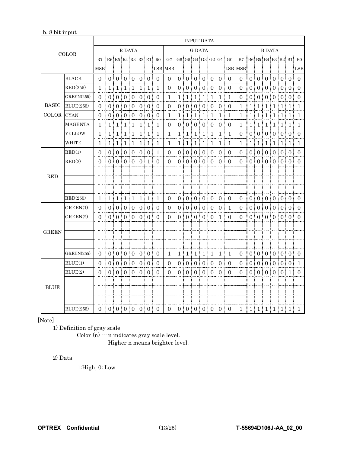## b. 8 bit input

|              |                |                                                      |  |                                     |  |                                 |                                   |  | <b>INPUT DATA</b> |                                                      |                           |                                                                                                                           |                                                      |  |  |               |  |  |      |
|--------------|----------------|------------------------------------------------------|--|-------------------------------------|--|---------------------------------|-----------------------------------|--|-------------------|------------------------------------------------------|---------------------------|---------------------------------------------------------------------------------------------------------------------------|------------------------------------------------------|--|--|---------------|--|--|------|
|              | <b>COLOR</b>   |                                                      |  | R DATA                              |  |                                 |                                   |  | G DATA            |                                                      |                           |                                                                                                                           |                                                      |  |  | <b>B DATA</b> |  |  |      |
|              |                |                                                      |  |                                     |  |                                 |                                   |  |                   |                                                      |                           | $R7$ $R6$ $R5$ $R4$ $R3$ $R2$ $R1$ $R0$ $G7$ $G6$ $G5G4$ $G4$ $G3$ $G2$ $G1$ $G0$ $B7$ $B6$ $B5$ $B4$ $B3$ $B2$ $B1$ $B0$ |                                                      |  |  |               |  |  |      |
|              |                | MSB                                                  |  |                                     |  |                                 | LSB MSB                           |  |                   |                                                      |                           | LSB MSB                                                                                                                   |                                                      |  |  |               |  |  | :LSB |
|              | <b>BLACK</b>   | 0:0:0:0:0:0:0:0                                      |  |                                     |  |                                 |                                   |  |                   | $0 \t0 \t0 \t0 \t0 \t0 \t0 \t0 \t0$                  |                           | $0 \t0 \t0 \t0 \t0 \t0 \t0 \t0 \t0$                                                                                       |                                                      |  |  |               |  |  |      |
|              | RED(255)       |                                                      |  | 1   1   1   1   1   1   1           |  | -1                              | 0:                                |  |                   | 0   0   0   0   0   0   0                            |                           | $0 \mid 0 \mid 0 \mid 0 \mid 0 \mid 0 \mid 0 \mid 0$                                                                      |                                                      |  |  |               |  |  |      |
|              | GREEN(255)     | $0 \t0 \t0 \t0 \t0 \t0 \t0 \t0 \t0$                  |  |                                     |  |                                 |                                   |  |                   | 1   1   1   1   1   1   1                            |                           |                                                                                                                           | $0 \t 0 \t 0 \t 0 \t 0 \t 0 \t 0 \t 0$               |  |  |               |  |  |      |
| <b>BASIC</b> | BLUE(255)      | 0 0 0 0 0 0 0 0 0 0 0                                |  |                                     |  |                                 | $\overline{0}$                    |  |                   | 0   0   0   0   0   0   0                            |                           |                                                                                                                           | $1 \mid 1 \mid 1 \mid 1 \mid 1 \mid 1 \mid 1 \mid 1$ |  |  |               |  |  |      |
| COLOR        | <b>CYAN</b>    |                                                      |  | $0 \t0 \t0 \t0 \t0 \t0 \t0 \t0 \t0$ |  |                                 |                                   |  |                   | $1 \mid 1 \mid 1 \mid 1 \mid 1 \mid 1 \mid 1 \mid 1$ |                           |                                                                                                                           | $1$   1   1   1   1   1   1   1                      |  |  |               |  |  |      |
|              | <b>MAGENTA</b> | 1   1   1   1   1   1   1                            |  |                                     |  | 1                               | 0:                                |  |                   | 0   0   0   0   0   0   0                            |                           |                                                                                                                           | $1 \mid 1 \mid 1 \mid 1 \mid 1 \mid 1 \mid 1 \mid 1$ |  |  |               |  |  |      |
|              | YELLOW         |                                                      |  |                                     |  | -1                              |                                   |  |                   | $1 \mid 1 \mid 1 \mid 1 \mid 1 \mid 1 \mid 1 \mid 1$ |                           |                                                                                                                           | 0 0 0 0 0 0 0 0 0 0 0                                |  |  |               |  |  |      |
|              | <b>WHITE</b>   |                                                      |  | 1   1   1   1   1   1   1           |  | 1                               | 1.                                |  |                   | 111111111111                                         |                           |                                                                                                                           | $1 \mid 1 \mid 1 \mid 1 \mid 1 \mid 1 \mid 1 \mid 1$ |  |  |               |  |  |      |
|              | RED(1)         | 0 0 0 0 0 0 0 0 1                                    |  |                                     |  |                                 | 0 <sup>1</sup>                    |  |                   | 0:0:0:0:0:0:0:0                                      |                           |                                                                                                                           | 0 0 0 0 0 0 0 0 0 0 0 0                              |  |  |               |  |  |      |
|              | RED(2)         | $0 \t0 \t0 \t0 \t0 \t0 \t0 \t1$                      |  |                                     |  | $\Omega$                        |                                   |  |                   | $0 \t0 \t0 \t0 \t0 \t0 \t0 \t0 \t0$                  |                           |                                                                                                                           | 0   0   0   0   0   0   0   0                        |  |  |               |  |  |      |
|              |                |                                                      |  |                                     |  |                                 |                                   |  |                   |                                                      |                           |                                                                                                                           |                                                      |  |  |               |  |  |      |
| <b>RED</b>   |                |                                                      |  |                                     |  |                                 |                                   |  |                   |                                                      |                           |                                                                                                                           |                                                      |  |  |               |  |  |      |
|              |                |                                                      |  |                                     |  |                                 |                                   |  |                   |                                                      |                           |                                                                                                                           |                                                      |  |  |               |  |  |      |
|              | RED(255)       | $1 \mid 1 \mid 1 \mid 1 \mid 1 \mid 1 \mid 1 \mid 1$ |  |                                     |  |                                 |                                   |  |                   | $0 \t0 \t0 \t0 \t0 \t0 \t0 \t0 \t0$                  |                           | $0 \t0 \t0 \t0 \t0 \t0 \t0 \t0 \t0$                                                                                       |                                                      |  |  |               |  |  |      |
|              | GREEN(1)       |                                                      |  |                                     |  | 0 10 10 10 10 10 10 0           | $0$ :                             |  |                   |                                                      | 0   0   0   0   0   0   1 | 0 0 0 0 0 0 0 0 0 0 0 0                                                                                                   |                                                      |  |  |               |  |  |      |
|              | GREEN(2)       | 0 0 0 0 0 0 0 0 0 0 0                                |  |                                     |  |                                 |                                   |  |                   | $0 \t0 \t0 \t0 \t0 \t0 \t0 \t1 \t0$                  |                           | 0 0 0 0 0 0 0 0 0 0 0                                                                                                     |                                                      |  |  |               |  |  |      |
|              |                |                                                      |  |                                     |  |                                 |                                   |  |                   |                                                      |                           |                                                                                                                           |                                                      |  |  |               |  |  |      |
| <b>GREEN</b> |                |                                                      |  |                                     |  |                                 |                                   |  |                   |                                                      |                           |                                                                                                                           |                                                      |  |  |               |  |  |      |
|              |                |                                                      |  |                                     |  |                                 |                                   |  |                   |                                                      |                           |                                                                                                                           |                                                      |  |  |               |  |  |      |
|              | GREEN(255)     |                                                      |  |                                     |  | 0 10 10 10 10 10 10 0           | 1   1   1   1   1   1   1   1   1 |  |                   |                                                      |                           | 0 10 10 10 10 10 10 10 10                                                                                                 |                                                      |  |  |               |  |  |      |
|              | BLUE(1)        | 0 0 0 0 0 0 0 0 0                                    |  |                                     |  | $\Omega$                        | 0:                                |  |                   | 0   0   0   0   0   0   0                            |                           |                                                                                                                           | 0 0 0 0 0 0 0 0 1                                    |  |  |               |  |  |      |
|              | BLUE(2)        |                                                      |  |                                     |  | $0 \t0 \t0 \t0 \t0 \t0 \t0 \t0$ | 0 0 0 0 0 0 0 0 0 0 0             |  |                   |                                                      |                           | 0 0 0 0 0 0 0 1 1 0                                                                                                       |                                                      |  |  |               |  |  |      |
|              |                |                                                      |  |                                     |  |                                 |                                   |  |                   |                                                      |                           |                                                                                                                           |                                                      |  |  |               |  |  |      |
| <b>BLUE</b>  |                |                                                      |  |                                     |  |                                 |                                   |  |                   |                                                      |                           |                                                                                                                           |                                                      |  |  |               |  |  |      |
|              |                |                                                      |  |                                     |  |                                 |                                   |  |                   |                                                      |                           |                                                                                                                           |                                                      |  |  |               |  |  |      |
|              | BLUE(255)      | $0 \t0 \t0 \t0 \t0 \t0 \t0 \t0$                      |  |                                     |  |                                 |                                   |  |                   | 0 0 0 0 0 0 0 0 0 0 0 0                              |                           | 1   1   1   1   1   1   1   1                                                                                             |                                                      |  |  |               |  |  |      |

[Note]

1) Definition of gray scale

Color  $(n)$   $\cdots$  n indicates gray scale level.

Higher n means brighter level.

## 2) Data

1:High, 0: Low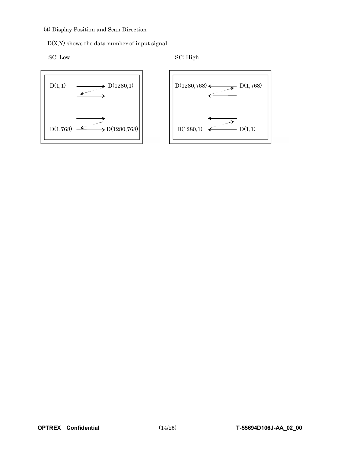(4) Display Position and Scan Direction

D(X,Y) shows the data number of input signal.





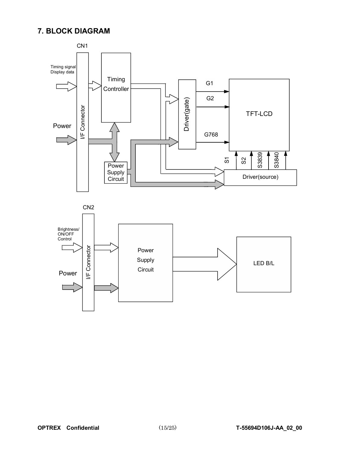## **7. BLOCK DIAGRAM**

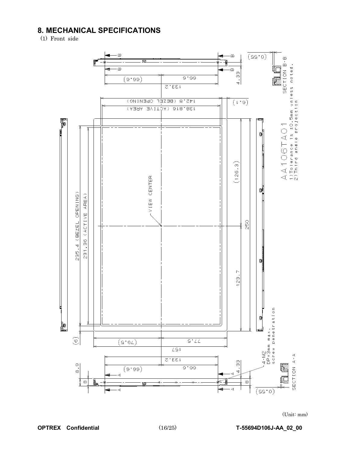## **8. MECHANICAL SPECIFICATIONS**

(1) Front side

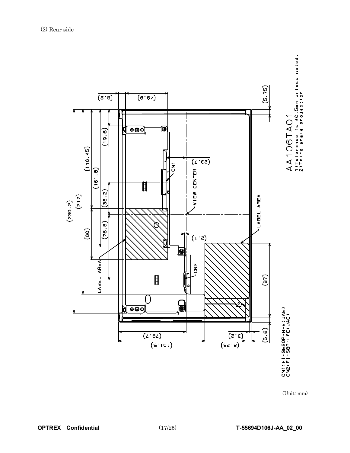

(Unit: mm)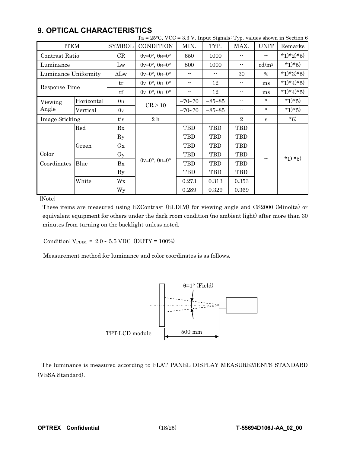|                      |            |               | $Ta = 25^{\circ}C$ , VCC = 3.3 V, Input Signals: Typ. values shown in Section 6 |            |            |                |                 |           |
|----------------------|------------|---------------|---------------------------------------------------------------------------------|------------|------------|----------------|-----------------|-----------|
| <b>ITEM</b>          |            | <b>SYMBOL</b> | <b>CONDITION</b>                                                                | MIN.       | TYP.       | MAX.           | <b>UNIT</b>     | Remarks   |
| Contrast Ratio       |            | CR            | $\theta$ v=0°, $\theta$ H=0°                                                    | 650        | 1000       | $ -$           |                 | *1)*2)*5) |
| Luminance            |            | Lw            | $\theta$ <sub>V</sub> =0 <sup>°</sup> , $\theta$ <sub>H</sub> =0 <sup>°</sup>   | 800        | 1000       | $ -$           | $\text{cd/m}^2$ | $*1)*5)$  |
| Luminance Uniformity |            | $\Delta Lw$   | $\theta$ v=0°, $\theta$ H=0°                                                    | $- -$      | $\sim$ $-$ | 30             | $\%$            | $*1)*3*5$ |
| Response Time        |            | tr            | $\theta$ v=0°, $\theta$ H=0°                                                    | --         | 12         | $\sim$ $-$     | ms              | *1)*4)*5) |
|                      |            | tf            | $\theta$ <sub>V</sub> =0°, $\theta$ <sub>H</sub> =0°                            | $-1$       | 12         | $ -$           | ms              | *1)*4)*5) |
| Viewing<br>Angle     | Horizontal | $\theta$ H    | $CR \ge 10$                                                                     | $-70 - 70$ | $-85 - 85$ | $ -$           | $\circ$         | $*1)*5)$  |
|                      | Vertical   | $\theta$ v    |                                                                                 | $-70 - 70$ | $-85 - 85$ | $ -$           | $\circ$         | $*1)*5)$  |
| Image Sticking       |            | tis           | 2h                                                                              |            |            | $\overline{2}$ | S               | $*6)$     |
|                      | Red        | Rx            |                                                                                 | <b>TBD</b> | TBD        | TBD            |                 |           |
|                      |            | $\rm Ry$      |                                                                                 | TBD        | TBD        | TBD            |                 |           |
|                      | Green      | Gx            |                                                                                 | TBD        | TBD        | TBD            |                 |           |
| Color                |            | Gy            |                                                                                 | <b>TBD</b> | <b>TBD</b> | <b>TBD</b>     |                 | $*1) *5)$ |
| Coordinates          | Blue       | Bx            | $\theta$ v=0°, $\theta$ H=0°                                                    | <b>TBD</b> | <b>TBD</b> | <b>TBD</b>     |                 |           |
|                      |            | By            |                                                                                 | <b>TBD</b> | <b>TBD</b> | TBD            |                 |           |
|                      | White      | Wx            |                                                                                 | 0.273      | 0.313      | 0.353          |                 |           |
|                      |            | Wy            |                                                                                 | 0.289      | 0.329      | 0.369          |                 |           |

## **9. OPTICAL CHARACTERISTICS**

[Note]

These items are measured using EZContrast (ELDIM) for viewing angle and CS2000 (Minolta) or equivalent equipment for others under the dark room condition (no ambient light) after more than 30 minutes from turning on the backlight unless noted.

Condition:  $V_{\text{PDIM}} = 2.0 \sim 5.5 \text{ VDC}$  (DUTY = 100%)

Measurement method for luminance and color coordinates is as follows.



The luminance is measured according to FLAT PANEL DISPLAY MEASUREMENTS STANDARD (VESA Standard).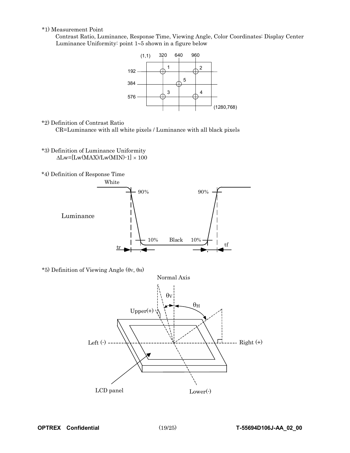#### \*1) Measurement Point

Contrast Ratio, Luminance, Response Time, Viewing Angle, Color Coordinates: Display Center Luminance Uniformity: point 1∼5 shown in a figure below



\*2) Definition of Contrast Ratio

CR=Luminance with all white pixels / Luminance with all black pixels

- \*3) Definition of Luminance Uniformity  $\Delta\text{Lw}=[\text{Lw}(\text{MAX})/\text{Lw}(\text{MIN})\cdot1]\times100$
- \*4) Definition of Response Time



 $*5$ ) Definition of Viewing Angle (θv, θH)

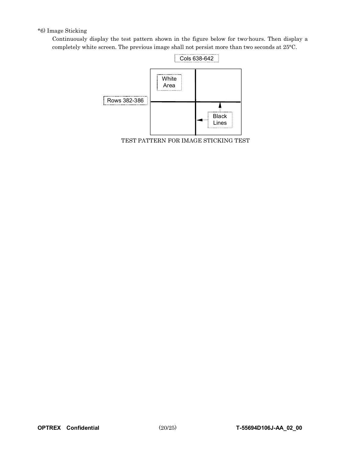#### \*6) Image Sticking

Continuously display the test pattern shown in the figure below for two-hours. Then display a completely white screen. The previous image shall not persist more than two seconds at 25°C.

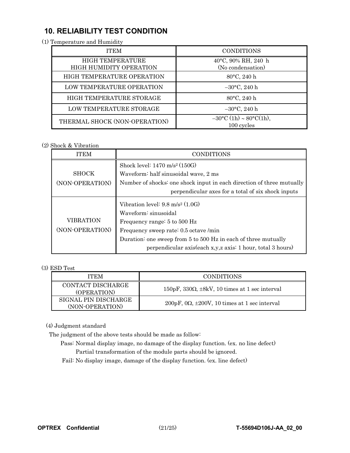## **10. RELIABILITY TEST CONDITION**

(1) Temperature and Humidity

| <b>ITEM</b>                                        | <b>CONDITIONS</b>                        |  |  |
|----------------------------------------------------|------------------------------------------|--|--|
| <b>HIGH TEMPERATURE</b><br>HIGH HUMIDITY OPERATION | 40°C, 90% RH, 240 h<br>(No condensation) |  |  |
| HIGH TEMPERATURE OPERATION                         | 80°C, 240 h                              |  |  |
| LOW TEMPERATURE OPERATION                          | $-30$ °C, 240 h                          |  |  |
| HIGH TEMPERATURE STORAGE                           | 80°C, 240 h                              |  |  |
| LOW TEMPERATURE STORAGE                            | $-30$ °C, 240 h                          |  |  |
| THERMAL SHOCK (NON-OPERATION)                      | $-30$ °C (1h) ~ 80°C(1h),<br>100 cycles  |  |  |

## (2) Shock & Vibration

| ITEM.                               | <b>CONDITIONS</b>                                                                                                                                                                                                                                                                                       |
|-------------------------------------|---------------------------------------------------------------------------------------------------------------------------------------------------------------------------------------------------------------------------------------------------------------------------------------------------------|
|                                     | Shock level: $1470 \text{ m/s}^2 (150 \text{G})$                                                                                                                                                                                                                                                        |
| <b>SHOCK</b>                        | Waveform: half sinusoidal wave, 2 ms                                                                                                                                                                                                                                                                    |
| (NON-OPERATION)                     | Number of shocks: one shock input in each direction of three mutually                                                                                                                                                                                                                                   |
|                                     | perpendicular axes for a total of six shock inputs                                                                                                                                                                                                                                                      |
| <b>VIBRATION</b><br>(NON-OPERATION) | Vibration level: $9.8 \text{ m/s}^2 (1.0 \text{G})$<br>Waveform: sinusoidal<br>Frequency range: $5 \text{ to } 500 \text{ Hz}$<br>Frequency sweep rate: 0.5 octave /min<br>Duration: one sweep from 5 to 500 Hz in each of three mutually<br>perpendicular axis(each x,y,z axis: 1 hour, total 3 hours) |

#### (3) ESD Test

| <b>ITEM</b>                             | <b>CONDITIONS</b>                                              |  |  |
|-----------------------------------------|----------------------------------------------------------------|--|--|
| CONTACT DISCHARGE<br>(OPERATION)        | $150pF$ , $330\Omega$ , $\pm 8kV$ , 10 times at 1 sec interval |  |  |
| SIGNAL PIN DISCHARGE<br>(NON-OPERATION) | $200pF$ , $0\Omega$ , $\pm 200V$ , 10 times at 1 sec interval  |  |  |

#### (4) Judgment standard

The judgment of the above tests should be made as follow:

Pass: Normal display image, no damage of the display function. (ex. no line defect) Partial transformation of the module parts should be ignored.

Fail: No display image, damage of the display function. (ex. line defect)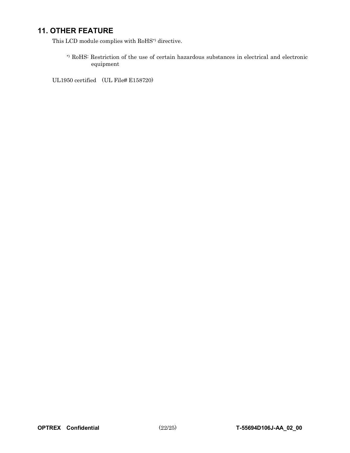## **11. OTHER FEATURE**

This LCD module complies with RoHS\*) directive.

\*) RoHS: Restriction of the use of certain hazardous substances in electrical and electronic equipment

UL1950 certified (UL File# E158720)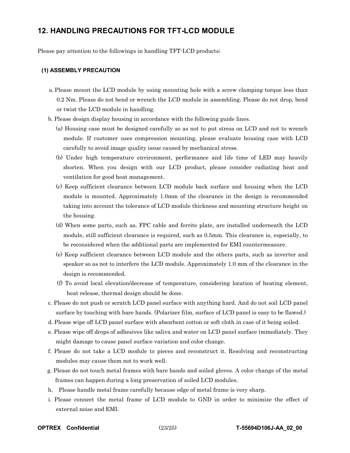## **12. HANDLING PRECAUTIONS FOR TFT-LCD MODULE**

Please pay attention to the followings in handling TFT-LCD products;

#### **(1) ASSEMBLY PRECAUTION**

- a. Please mount the LCD module by using mounting hole with a screw clamping torque less than 0.2 Nm. Please do not bend or wrench the LCD module in assembling. Please do not drop, bend or twist the LCD module in handling.
- b. Please design display housing in accordance with the following guide lines.
	- (a) Housing case must be designed carefully so as not to put stress on LCD and not to wrench module. If customer uses compression mounting, please evaluate housing case with LCD carefully to avoid image quality issue caused by mechanical stress.
	- (b) Under high temperature environment, performance and life time of LED may heavily shorten. When you design with our LCD product, please consider radiating heat and ventilation for good heat management.
	- (c) Keep sufficient clearance between LCD module back surface and housing when the LCD module is mounted. Approximately 1.0mm of the clearance in the design is recommended taking into account the tolerance of LCD module thickness and mounting structure height on the housing.
	- (d) When some parts, such as, FPC cable and ferrite plate, are installed underneath the LCD module, still sufficient clearance is required, such as 0.5mm. This clearance is, especially, to be reconsidered when the additional parts are implemented for EMI countermeasure.
	- (e) Keep sufficient clearance between LCD module and the others parts, such as inverter and speaker so as not to interfere the LCD module. Approximately 1.0 mm of the clearance in the design is recommended.
	- (f) To avoid local elevation/decrease of temperature, considering location of heating element, heat release, thermal design should be done.
- c. Please do not push or scratch LCD panel surface with anything hard. And do not soil LCD panel surface by touching with bare hands. (Polarizer film, surface of LCD panel is easy to be flawed.)
- d. Please wipe off LCD panel surface with absorbent cotton or soft cloth in case of it being soiled.
- e. Please wipe off drops of adhesives like saliva and water on LCD panel surface immediately. They might damage to cause panel surface variation and color change.
- f. Please do not take a LCD module to pieces and reconstruct it. Resolving and reconstructing modules may cause them not to work well.
- g. Please do not touch metal frames with bare hands and soiled gloves. A color change of the metal frames can happen during a long preservation of soiled LCD modules.
- h. Please handle metal frame carefully because edge of metal frame is very sharp.
- i. Please connect the metal frame of LCD module to GND in order to minimize the effect of external noise and EMI.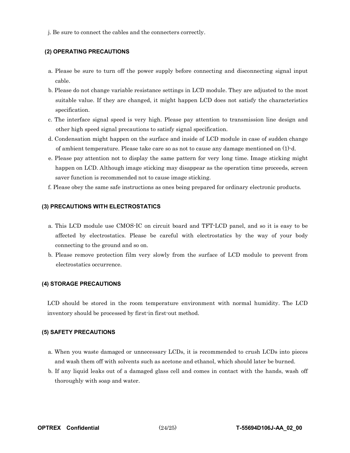j. Be sure to connect the cables and the connecters correctly.

#### **(2) OPERATING PRECAUTIONS**

- a. Please be sure to turn off the power supply before connecting and disconnecting signal input cable.
- b. Please do not change variable resistance settings in LCD module. They are adjusted to the most suitable value. If they are changed, it might happen LCD does not satisfy the characteristics specification.
- c. The interface signal speed is very high. Please pay attention to transmission line design and other high speed signal precautions to satisfy signal specification.
- d. Condensation might happen on the surface and inside of LCD module in case of sudden change of ambient temperature. Please take care so as not to cause any damage mentioned on (1)-d.
- e. Please pay attention not to display the same pattern for very long time. Image sticking might happen on LCD. Although image sticking may disappear as the operation time proceeds, screen saver function is recommended not to cause image sticking.
- f. Please obey the same safe instructions as ones being prepared for ordinary electronic products.

#### **(3) PRECAUTIONS WITH ELECTROSTATICS**

- a. This LCD module use CMOS-IC on circuit board and TFT-LCD panel, and so it is easy to be affected by electrostatics. Please be careful with electrostatics by the way of your body connecting to the ground and so on.
- b. Please remove protection film very slowly from the surface of LCD module to prevent from electrostatics occurrence.

#### **(4) STORAGE PRECAUTIONS**

LCD should be stored in the room temperature environment with normal humidity. The LCD inventory should be processed by first-in first-out method.

#### **(5) SAFETY PRECAUTIONS**

- a. When you waste damaged or unnecessary LCDs, it is recommended to crush LCDs into pieces and wash them off with solvents such as acetone and ethanol, which should later be burned.
- b. If any liquid leaks out of a damaged glass cell and comes in contact with the hands, wash off thoroughly with soap and water.